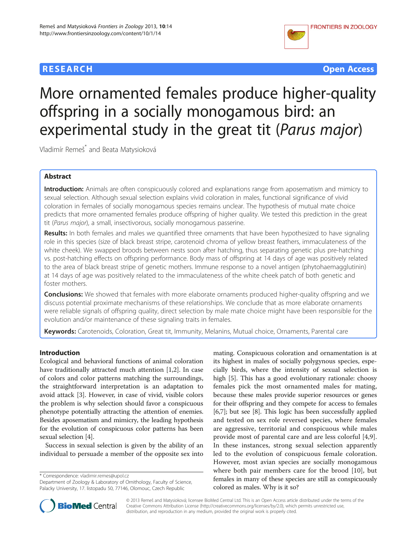# **RESEARCH RESEARCH** *CHECK CHECK CHECK CHECK CHECK CHECK CHECK CHECK CHECK CHECK CHECK CHECK CHECK CHECK CHECK CHECK CHECK CHECK CHECK CHECK CHECK CHECK CHECK CHECK CHECK CHECK CHECK CHECK CHECK CHECK CHECK CHECK CHECK*



# More ornamented females produce higher-quality offspring in a socially monogamous bird: an experimental study in the great tit (Parus major)

Vladimír Remeš \* and Beata Matysioková

# Abstract

Introduction: Animals are often conspicuously colored and explanations range from aposematism and mimicry to sexual selection. Although sexual selection explains vivid coloration in males, functional significance of vivid coloration in females of socially monogamous species remains unclear. The hypothesis of mutual mate choice predicts that more ornamented females produce offspring of higher quality. We tested this prediction in the great tit (Parus major), a small, insectivorous, socially monogamous passerine.

Results: In both females and males we quantified three ornaments that have been hypothesized to have signaling role in this species (size of black breast stripe, carotenoid chroma of yellow breast feathers, immaculateness of the white cheek). We swapped broods between nests soon after hatching, thus separating genetic plus pre-hatching vs. post-hatching effects on offspring performance. Body mass of offspring at 14 days of age was positively related to the area of black breast stripe of genetic mothers. Immune response to a novel antigen (phytohaemagglutinin) at 14 days of age was positively related to the immaculateness of the white cheek patch of both genetic and foster mothers.

**Conclusions:** We showed that females with more elaborate ornaments produced higher-quality offspring and we discuss potential proximate mechanisms of these relationships. We conclude that as more elaborate ornaments were reliable signals of offspring quality, direct selection by male mate choice might have been responsible for the evolution and/or maintenance of these signaling traits in females.

Keywords: Carotenoids, Coloration, Great tit, Immunity, Melanins, Mutual choice, Ornaments, Parental care

# Introduction

Ecological and behavioral functions of animal coloration have traditionally attracted much attention [[1,2\]](#page-7-0). In case of colors and color patterns matching the surroundings, the straightforward interpretation is an adaptation to avoid attack [[3\]](#page-7-0). However, in case of vivid, visible colors the problem is why selection should favor a conspicuous phenotype potentially attracting the attention of enemies. Besides aposematism and mimicry, the leading hypothesis for the evolution of conspicuous color patterns has been sexual selection [[4](#page-7-0)].

Success in sexual selection is given by the ability of an individual to persuade a member of the opposite sex into

\* Correspondence: [vladimir.remes@upol.cz](mailto:vladimir.remes@upol.cz)

Department of Zoology & Laboratory of Ornithology, Faculty of Science, Palacky University, 17. listopadu 50, 77146, Olomouc, Czech Republic

mating. Conspicuous coloration and ornamentation is at its highest in males of socially polygynous species, especially birds, where the intensity of sexual selection is high [\[5](#page-7-0)]. This has a good evolutionary rationale: choosy females pick the most ornamented males for mating, because these males provide superior resources or genes for their offspring and they compete for access to females [[6,7](#page-7-0)]; but see [[8\]](#page-7-0). This logic has been successfully applied and tested on sex role reversed species, where females are aggressive, territorial and conspicuous while males provide most of parental care and are less colorful [[4,9](#page-7-0)]. In these instances, strong sexual selection apparently led to the evolution of conspicuous female coloration. However, most avian species are socially monogamous where both pair members care for the brood [\[10](#page-7-0)], but females in many of these species are still as conspicuously colored as males. Why is it so?



© 2013 Remeš and Matysioková; licensee BioMed Central Ltd. This is an Open Access article distributed under the terms of the Creative Commons Attribution License (<http://creativecommons.org/licenses/by/2.0>), which permits unrestricted use, distribution, and reproduction in any medium, provided the original work is properly cited.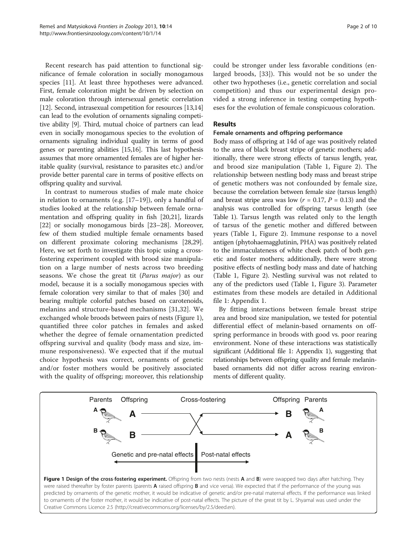<span id="page-1-0"></span>Recent research has paid attention to functional significance of female coloration in socially monogamous species [\[11](#page-7-0)]. At least three hypotheses were advanced. First, female coloration might be driven by selection on male coloration through intersexual genetic correlation [[12\]](#page-7-0). Second, intrasexual competition for resources [\[13,14](#page-7-0)] can lead to the evolution of ornaments signaling competitive ability [\[9](#page-7-0)]. Third, mutual choice of partners can lead even in socially monogamous species to the evolution of ornaments signaling individual quality in terms of good genes or parenting abilities [\[15,16](#page-7-0)]. This last hypothesis assumes that more ornamented females are of higher heritable quality (survival, resistance to parasites etc.) and/or provide better parental care in terms of positive effects on offspring quality and survival.

In contrast to numerous studies of male mate choice in relation to ornaments (e.g. [\[17](#page-7-0)–[19\]](#page-7-0)), only a handful of studies looked at the relationship between female ornamentation and offspring quality in fish [\[20,](#page-7-0)[21\]](#page-8-0), lizards [[22\]](#page-8-0) or socially monogamous birds [[23](#page-8-0)–[28](#page-8-0)]. Moreover, few of them studied multiple female ornaments based on different proximate coloring mechanisms [\[28,29](#page-8-0)]. Here, we set forth to investigate this topic using a crossfostering experiment coupled with brood size manipulation on a large number of nests across two breeding seasons. We chose the great tit (Parus major) as our model, because it is a socially monogamous species with female coloration very similar to that of males [[30](#page-8-0)] and bearing multiple colorful patches based on carotenoids, melanins and structure-based mechanisms [[31](#page-8-0),[32\]](#page-8-0). We exchanged whole broods between pairs of nests (Figure 1), quantified three color patches in females and asked whether the degree of female ornamentation predicted offspring survival and quality (body mass and size, immune responsiveness). We expected that if the mutual choice hypothesis was correct, ornaments of genetic and/or foster mothers would be positively associated with the quality of offspring; moreover, this relationship

could be stronger under less favorable conditions (enlarged broods, [[33\]](#page-8-0)). This would not be so under the other two hypotheses (i.e., genetic correlation and social competition) and thus our experimental design provided a strong inference in testing competing hypotheses for the evolution of female conspicuous coloration.

## Results

#### Female ornaments and offspring performance

Body mass of offspring at 14d of age was positively related to the area of black breast stripe of genetic mothers; additionally, there were strong effects of tarsus length, year, and brood size manipulation (Table [1](#page-2-0), Figure [2](#page-3-0)). The relationship between nestling body mass and breast stripe of genetic mothers was not confounded by female size, because the correlation between female size (tarsus length) and breast stripe area was low ( $r = 0.17$ ,  $P = 0.13$ ) and the analysis was controlled for offspring tarsus length (see Table [1](#page-2-0)). Tarsus length was related only to the length of tarsus of the genetic mother and differed between years (Table [1,](#page-2-0) Figure [2](#page-3-0)). Immune response to a novel antigen (phytohaemagglutinin, PHA) was positively related to the immaculateness of white cheek patch of both genetic and foster mothers; additionally, there were strong positive effects of nestling body mass and date of hatching (Table [1,](#page-2-0) Figure [2\)](#page-3-0). Nestling survival was not related to any of the predictors used (Table [1](#page-2-0), Figure [3\)](#page-3-0). Parameter estimates from these models are detailed in Additional file [1](#page-7-0): Appendix 1.

By fitting interactions between female breast stripe area and brood size manipulation, we tested for potential differential effect of melanin-based ornaments on offspring performance in broods with good vs. poor rearing environment. None of these interactions was statistically significant (Additional file [1:](#page-7-0) Appendix 1), suggesting that relationships between offspring quality and female melaninbased ornaments did not differ across rearing environments of different quality.

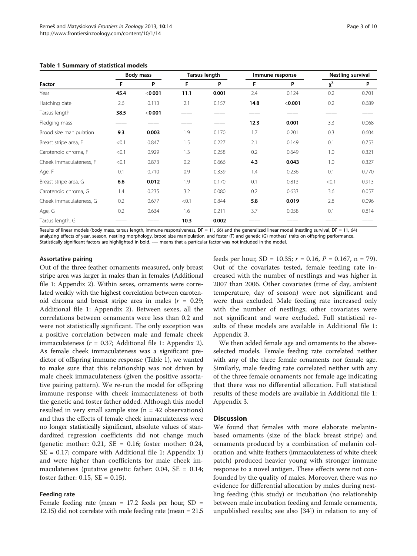| Factor                  | <b>Body mass</b> |         | <b>Tarsus length</b> |       | Immune response |         | Nestling survival |       |
|-------------------------|------------------|---------|----------------------|-------|-----------------|---------|-------------------|-------|
|                         | F                | P       | F                    | P     | F               | P       | $x^2$             | P     |
| Year                    | 45.4             | < 0.001 | 11.1                 | 0.001 | 2.4             | 0.124   | 0.2               | 0.701 |
| Hatching date           | 2.6              | 0.113   | 2.1                  | 0.157 | 14.8            | < 0.001 | 0.2               | 0.689 |
| Tarsus length           | 38.5             | < 0.001 |                      |       |                 |         |                   |       |
| Fledging mass           |                  |         |                      |       | 12.3            | 0.001   | 3.3               | 0.068 |
| Brood size manipulation | 9.3              | 0.003   | 1.9                  | 0.170 | 1.7             | 0.201   | 0.3               | 0.604 |
| Breast stripe area, F   | < 0.1            | 0.847   | 1.5                  | 0.227 | 2.1             | 0.149   | 0.1               | 0.753 |
| Carotenoid chroma, F    | < 0.1            | 0.929   | 1.3                  | 0.258 | 0.2             | 0.649   | 1.0               | 0.321 |
| Cheek immaculateness, F | < 0.1            | 0.873   | 0.2                  | 0.666 | 4.3             | 0.043   | 1.0               | 0.327 |
| Age, F                  | 0.1              | 0.710   | 0.9                  | 0.339 | 1.4             | 0.236   | 0.1               | 0.770 |
| Breast stripe area, G   | 6.6              | 0.012   | 1.9                  | 0.170 | 0.1             | 0.813   | < 0.1             | 0.913 |
| Carotenoid chroma, G    | 1.4              | 0.235   | 3.2                  | 0.080 | 0.2             | 0.633   | 3.6               | 0.057 |
| Cheek immaculateness, G | 0.2              | 0.677   | < 0.1                | 0.844 | 5.8             | 0.019   | 2.8               | 0.096 |
| Age, G                  | 0.2              | 0.634   | 1.6                  | 0.211 | 3.7             | 0.058   | 0.1               | 0.814 |
| Tarsus length, G        |                  |         | 10.3                 | 0.002 |                 |         |                   |       |

#### <span id="page-2-0"></span>Table 1 Summary of statistical models

Results of linear models (body mass, tarsus length, immune responsiveness,  $DF = 11$ , 66) and the generalized linear model (nestling survival,  $DF = 11$ , 64) analyzing effects of year, season, nestling morphology, brood size manipulation, and foster (F) and genetic (G) mothers' traits on offspring performance. Statistically significant factors are highlighted in bold. -— means that a particular factor was not included in the model.

#### Assortative pairing

Out of the three feather ornaments measured, only breast stripe area was larger in males than in females (Additional file [1](#page-7-0): Appendix 2). Within sexes, ornaments were correlated weakly with the highest correlation between carotenoid chroma and breast stripe area in males  $(r = 0.29;$ Additional file [1:](#page-7-0) Appendix 2). Between sexes, all the correlations between ornaments were less than 0.2 and were not statistically significant. The only exception was a positive correlation between male and female cheek immaculateness ( $r = 0.37$ ; Additional file [1](#page-7-0): Appendix 2). As female cheek immaculateness was a significant predictor of offspring immune response (Table 1), we wanted to make sure that this relationship was not driven by male cheek immaculateness (given the positive assortative pairing pattern). We re-run the model for offspring immune response with cheek immaculateness of both the genetic and foster father added. Although this model resulted in very small sample size  $(n = 42$  observations) and thus the effects of female cheek immaculateness were no longer statistically significant, absolute values of standardized regression coefficients did not change much (genetic mother:  $0.21$ , SE = 0.16; foster mother: 0.24, SE = 0.17; compare with Additional file [1:](#page-7-0) Appendix 1) and were higher than coefficients for male cheek immaculateness (putative genetic father: 0.04, SE = 0.14; foster father: 0.15, SE = 0.15).

#### Feeding rate

Female feeding rate (mean  $= 17.2$  feeds per hour, SD  $=$ 12.15) did not correlate with male feeding rate (mean = 21.5 feeds per hour, SD = 10.35;  $r = 0.16$ ,  $P = 0.167$ ,  $n = 79$ ). Out of the covariates tested, female feeding rate increased with the number of nestlings and was higher in 2007 than 2006. Other covariates (time of day, ambient temperature, day of season) were not significant and were thus excluded. Male feeding rate increased only with the number of nestlings; other covariates were not significant and were excluded. Full statistical results of these models are available in Additional file [1](#page-7-0): Appendix 3.

We then added female age and ornaments to the aboveselected models. Female feeding rate correlated neither with any of the three female ornaments nor female age. Similarly, male feeding rate correlated neither with any of the three female ornaments nor female age indicating that there was no differential allocation. Full statistical results of these models are available in Additional file [1](#page-7-0): Appendix 3.

#### **Discussion**

We found that females with more elaborate melaninbased ornaments (size of the black breast stripe) and ornaments produced by a combination of melanin coloration and white feathers (immaculateness of white cheek patch) produced heavier young with stronger immune response to a novel antigen. These effects were not confounded by the quality of males. Moreover, there was no evidence for differential allocation by males during nestling feeding (this study) or incubation (no relationship between male incubation feeding and female ornaments, unpublished results; see also [[34\]](#page-8-0)) in relation to any of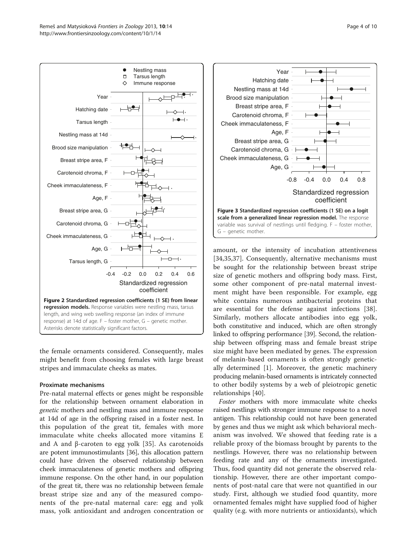<span id="page-3-0"></span>

the female ornaments considered. Consequently, males might benefit from choosing females with large breast stripes and immaculate cheeks as mates.

# Proximate mechanisms

Pre-natal maternal effects or genes might be responsible for the relationship between ornament elaboration in genetic mothers and nestling mass and immune response at 14d of age in the offspring raised in a foster nest. In this population of the great tit, females with more immaculate white cheeks allocated more vitamins E and A and β-caroten to egg yolk [[35](#page-8-0)]. As carotenoids are potent immunostimulants [[36](#page-8-0)], this allocation pattern could have driven the observed relationship between cheek immaculateness of genetic mothers and offspring immune response. On the other hand, in our population of the great tit, there was no relationship between female breast stripe size and any of the measured components of the pre-natal maternal care: egg and yolk mass, yolk antioxidant and androgen concentration or



amount, or the intensity of incubation attentiveness [[34,35,37](#page-8-0)]. Consequently, alternative mechanisms must be sought for the relationship between breast stripe size of genetic mothers and offspring body mass. First, some other component of pre-natal maternal investment might have been responsible. For example, egg white contains numerous antibacterial proteins that are essential for the defense against infections [\[38](#page-8-0)]. Similarly, mothers allocate antibodies into egg yolk, both constitutive and induced, which are often strongly linked to offspring performance [[39](#page-8-0)]. Second, the relationship between offspring mass and female breast stripe size might have been mediated by genes. The expression of melanin-based ornaments is often strongly genetically determined [[1\]](#page-7-0). Moreover, the genetic machinery producing melanin-based ornaments is intricately connected to other bodily systems by a web of pleiotropic genetic relationships [[40\]](#page-8-0).

Foster mothers with more immaculate white cheeks raised nestlings with stronger immune response to a novel antigen. This relationship could not have been generated by genes and thus we might ask which behavioral mechanism was involved. We showed that feeding rate is a reliable proxy of the biomass brought by parents to the nestlings. However, there was no relationship between feeding rate and any of the ornaments investigated. Thus, food quantity did not generate the observed relationship. However, there are other important components of post-natal care that were not quantified in our study. First, although we studied food quantity, more ornamented females might have supplied food of higher quality (e.g. with more nutrients or antioxidants), which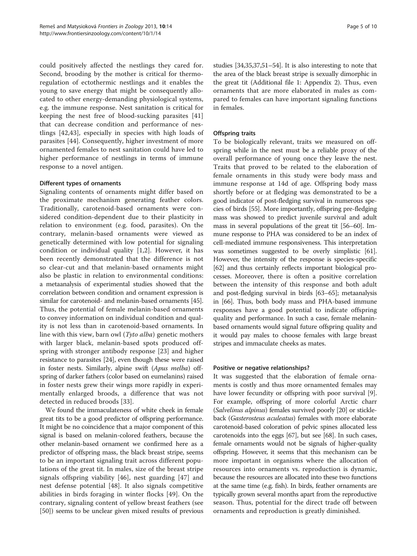could positively affected the nestlings they cared for. Second, brooding by the mother is critical for thermoregulation of ectothermic nestlings and it enables the young to save energy that might be consequently allocated to other energy-demanding physiological systems, e.g. the immune response. Nest sanitation is critical for keeping the nest free of blood-sucking parasites [\[41](#page-8-0)] that can decrease condition and performance of nestlings [\[42](#page-8-0),[43\]](#page-8-0), especially in species with high loads of parasites [\[44](#page-8-0)]. Consequently, higher investment of more ornamented females to nest sanitation could have led to higher performance of nestlings in terms of immune response to a novel antigen.

## Different types of ornaments

Signaling contents of ornaments might differ based on the proximate mechanism generating feather colors. Traditionally, carotenoid-based ornaments were considered condition-dependent due to their plasticity in relation to environment (e.g. food, parasites). On the contrary, melanin-based ornaments were viewed as genetically determined with low potential for signaling condition or individual quality [[1,2](#page-7-0)]. However, it has been recently demonstrated that the difference is not so clear-cut and that melanin-based ornaments might also be plastic in relation to environmental conditions: a metaanalysis of experimental studies showed that the correlation between condition and ornament expression is similar for carotenoid- and melanin-based ornaments [[45](#page-8-0)]. Thus, the potential of female melanin-based ornaments to convey information on individual condition and quality is not less than in carotenoid-based ornaments. In line with this view, barn owl (Tyto alba) genetic mothers with larger black, melanin-based spots produced offspring with stronger antibody response [[23\]](#page-8-0) and higher resistance to parasites [[24](#page-8-0)], even though these were raised in foster nests. Similarly, alpine swift (Apus melba) offspring of darker fathers (color based on eumelanins) raised in foster nests grew their wings more rapidly in experimentally enlarged broods, a difference that was not detected in reduced broods [[33\]](#page-8-0).

We found the immaculateness of white cheek in female great tits to be a good predictor of offspring performance. It might be no coincidence that a major component of this signal is based on melanin-colored feathers, because the other melanin-based ornament we confirmed here as a predictor of offspring mass, the black breast stripe, seems to be an important signaling trait across different populations of the great tit. In males, size of the breast stripe signals offspring viability [\[46](#page-8-0)], nest guarding [\[47\]](#page-8-0) and nest defense potential [\[48](#page-8-0)]. It also signals competitive abilities in birds foraging in winter flocks [[49](#page-8-0)]. On the contrary, signaling content of yellow breast feathers (see [[50\]](#page-8-0)) seems to be unclear given mixed results of previous studies [[34,35,37,51](#page-8-0)–[54\]](#page-8-0). It is also interesting to note that the area of the black breast stripe is sexually dimorphic in the great tit (Additional file [1](#page-7-0): Appendix 2). Thus, even ornaments that are more elaborated in males as compared to females can have important signaling functions in females.

## Offspring traits

To be biologically relevant, traits we measured on offspring while in the nest must be a reliable proxy of the overall performance of young once they leave the nest. Traits that proved to be related to the elaboration of female ornaments in this study were body mass and immune response at 14d of age. Offspring body mass shortly before or at fledging was demonstrated to be a good indicator of post-fledging survival in numerous species of birds [[55](#page-8-0)]. More importantly, offspring pre-fledging mass was showed to predict juvenile survival and adult mass in several populations of the great tit [[56](#page-8-0)–[60\]](#page-8-0). Immune response to PHA was considered to be an index of cell-mediated immune responsiveness. This interpretation was sometimes suggested to be overly simplistic [[61](#page-8-0)]. However, the intensity of the response is species-specific [[62](#page-8-0)] and thus certainly reflects important biological processes. Moreover, there is often a positive correlation between the intensity of this response and both adult and post-fledging survival in birds [[63](#page-8-0)–[65\]](#page-8-0); metaanalysis in [[66](#page-8-0)]. Thus, both body mass and PHA-based immune responses have a good potential to indicate offspring quality and performance. In such a case, female melaninbased ornaments would signal future offspring quality and it would pay males to choose females with large breast stripes and immaculate cheeks as mates.

#### Positive or negative relationships?

It was suggested that the elaboration of female ornaments is costly and thus more ornamented females may have lower fecundity or offspring with poor survival [\[9](#page-7-0)]. For example, offspring of more colorful Arctic charr (Salvelinus alpinus) females survived poorly [[20](#page-7-0)] or stickleback (Gasterosteus aculeatus) females with more elaborate carotenoid-based coloration of pelvic spines allocated less carotenoids into the eggs [\[67](#page-8-0)], but see [\[68](#page-8-0)]. In such cases, female ornaments would not be signals of higher-quality offspring. However, it seems that this mechanism can be more important in organisms where the allocation of resources into ornaments vs. reproduction is dynamic, because the resources are allocated into these two functions at the same time (e.g. fish). In birds, feather ornaments are typically grown several months apart from the reproductive season. Thus, potential for the direct trade off between ornaments and reproduction is greatly diminished.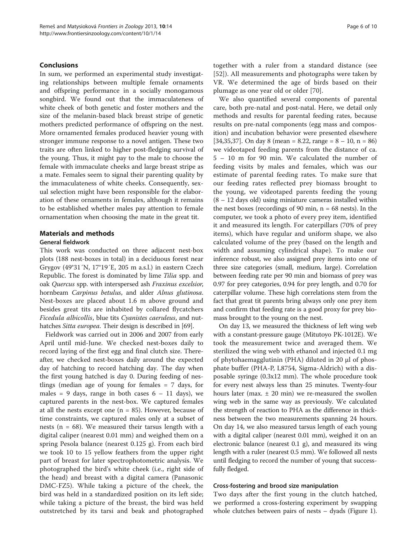## Conclusions

In sum, we performed an experimental study investigating relationships between multiple female ornaments and offspring performance in a socially monogamous songbird. We found out that the immaculateness of white cheek of both genetic and foster mothers and the size of the melanin-based black breast stripe of genetic mothers predicted performance of offspring on the nest. More ornamented females produced heavier young with stronger immune response to a novel antigen. These two traits are often linked to higher post-fledging survival of the young. Thus, it might pay to the male to choose the female with immaculate cheeks and large breast stripe as a mate. Females seem to signal their parenting quality by the immaculateness of white cheeks. Consequently, sexual selection might have been responsible for the elaboration of these ornaments in females, although it remains to be established whether males pay attention to female ornamentation when choosing the mate in the great tit.

## Materials and methods

## General fieldwork

This work was conducted on three adjacent nest-box plots (188 nest-boxes in total) in a deciduous forest near Grygov (49°31´N, 17°19´E, 205 m a.s.l.) in eastern Czech Republic. The forest is dominated by lime Tilia spp. and oak Quercus spp. with interspersed ash Fraxinus excelsior, hornbeam Carpinus betulus, and alder Alnus glutinosa. Nest-boxes are placed about 1.6 m above ground and besides great tits are inhabited by collared flycatchers Ficedula albicollis, blue tits Cyanistes caeruleus, and nut-hatches Sitta europea. Their design is described in [\[69](#page-8-0)].

Fieldwork was carried out in 2006 and 2007 from early April until mid-June. We checked nest-boxes daily to record laying of the first egg and final clutch size. Thereafter, we checked nest-boxes daily around the expected day of hatching to record hatching day. The day when the first young hatched is day 0. During feeding of nestlings (median age of young for females = 7 days, for males = 9 days, range in both cases  $6 - 11$  days), we captured parents in the nest-box. We captured females at all the nests except one ( $n = 85$ ). However, because of time constraints, we captured males only at a subset of nests ( $n = 68$ ). We measured their tarsus length with a digital caliper (nearest 0.01 mm) and weighed them on a spring Pesola balance (nearest 0.125 g). From each bird we took 10 to 15 yellow feathers from the upper right part of breast for later spectrophotometric analysis. We photographed the bird's white cheek (i.e., right side of the head) and breast with a digital camera (Panasonic DMC-FZ5). While taking a picture of the cheek, the bird was held in a standardized position on its left side; while taking a picture of the breast, the bird was held outstretched by its tarsi and beak and photographed

together with a ruler from a standard distance (see [[52](#page-8-0)]). All measurements and photographs were taken by VR. We determined the age of birds based on their plumage as one year old or older [\[70](#page-8-0)].

We also quantified several components of parental care, both pre-natal and post-natal. Here, we detail only methods and results for parental feeding rates, because results on pre-natal components (egg mass and composition) and incubation behavior were presented elsewhere [[34,35,37\]](#page-8-0). On day 8 (mean = 8.22, range =  $8 - 10$ , n = 86) we videotaped feeding parents from the distance of ca. 5 – 10 m for 90 min. We calculated the number of feeding visits by males and females, which was our estimate of parental feeding rates. To make sure that our feeding rates reflected prey biomass brought to the young, we videotaped parents feeding the young  $(8 - 12)$  days old) using miniature cameras installed within the nest boxes (recordings of 90 min,  $n = 68$  nests). In the computer, we took a photo of every prey item, identified it and measured its length. For caterpillars (70% of prey items), which have regular and uniform shape, we also calculated volume of the prey (based on the length and width and assuming cylindrical shape). To make our inference robust, we also assigned prey items into one of three size categories (small, medium, large). Correlation between feeding rate per 90 min and biomass of prey was 0.97 for prey categories, 0.94 for prey length, and 0.70 for caterpillar volume. These high correlations stem from the fact that great tit parents bring always only one prey item and confirm that feeding rate is a good proxy for prey biomass brought to the young on the nest.

On day 13, we measured the thickness of left wing web with a constant-pressure gauge (Mitutoyo PK-1012E). We took the measurement twice and averaged them. We sterilized the wing web with ethanol and injected 0.1 mg of phytohaemagglutinin (PHA) diluted in 20 μl of phosphate buffer (PHA-P, L8754, Sigma-Aldrich) with a disposable syringe (0.3x12 mm). The whole procedure took for every nest always less than 25 minutes. Twenty-four hours later (max.  $\pm$  20 min) we re-measured the swollen wing web in the same way as previously. We calculated the strength of reaction to PHA as the difference in thickness between the two measurements spanning 24 hours. On day 14, we also measured tarsus length of each young with a digital caliper (nearest 0.01 mm), weighed it on an electronic balance (nearest 0.1 g), and measured its wing length with a ruler (nearest 0.5 mm). We followed all nests until fledging to record the number of young that successfully fledged.

#### Cross-fostering and brood size manipulation

Two days after the first young in the clutch hatched, we performed a cross-fostering experiment by swapping whole clutches between pairs of nests – dyads (Figure [1](#page-1-0)).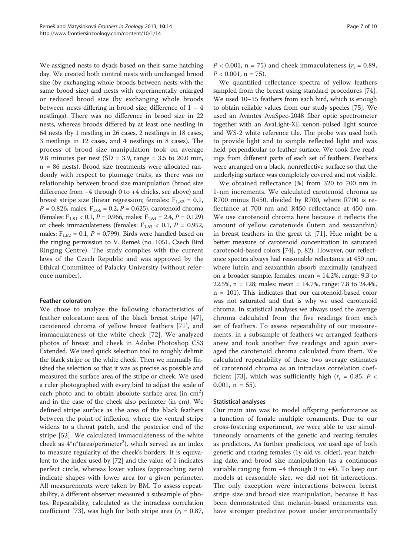We assigned nests to dyads based on their same hatching day. We created both control nests with unchanged brood size (by exchanging whole broods between nests with the same brood size) and nests with experimentally enlarged or reduced brood size (by exchanging whole broods between nests differing in brood size; difference of  $1 - 4$ nestlings). There was no difference in brood size in 22 nests, whereas broods differed by at least one nestling in 64 nests (by 1 nestling in 26 cases, 2 nestlings in 18 cases, 3 nestlings in 12 cases, and 4 nestlings in 8 cases). The process of brood size manipulation took on average 9.8 minutes per nest (SD = 3.9, range =  $3.5$  to 20.0 min, n = 86 nests). Brood size treatments were allocated randomly with respect to plumage traits, as there was no relationship between brood size manipulation (brood size difference from −4 through 0 to +4 chicks, see above) and breast stripe size (linear regression; females:  $F_{1,83} = 0.1$ ,  $P = 0.826$ , males:  $F_{1,66} = 0.2$ ,  $P = 0.625$ ), carotenoid chroma (females:  $F_{1,81}$  < 0.1,  $P = 0.966$ , males:  $F_{1,64} = 2.4$ ,  $P = 0.129$ ) or cheek immaculateness (females:  $F_{1,83}$  < 0.1,  $P = 0.952$ , males:  $F_{1,62} = 0.1$ ,  $P = 0.799$ ). Birds were handled based on the ringing permission to V. Remeš (no. 1051, Czech Bird Ringing Centre). The study complies with the current laws of the Czech Republic and was approved by the Ethical Committee of Palacky University (without reference number).

# Feather coloration

We chose to analyze the following characteristics of feather coloration: area of the black breast stripe [\[47](#page-8-0)], carotenoid chroma of yellow breast feathers [\[71](#page-8-0)], and immaculateness of the white cheek [[72](#page-9-0)]. We analyzed photos of breast and cheek in Adobe Photoshop CS3 Extended. We used quick selection tool to roughly delimit the black stripe or the white cheek. Then we manually finished the selection so that it was as precise as possible and measured the surface area of the stripe or cheek. We used a ruler photographed with every bird to adjust the scale of each photo and to obtain absolute surface area (in cm<sup>2</sup>) and in the case of the cheek also perimeter (in cm). We defined stripe surface as the area of the black feathers between the point of inflexion, where the ventral stripe widens to a throat patch, and the posterior end of the stripe [[52\]](#page-8-0). We calculated immaculateness of the white cheek as  $4^* \pi^*$ (area/perimeter<sup>2</sup>), which served as an index to measure regularity of the cheek's borders. It is equivalent to the index used by [[72](#page-9-0)] and the value of 1 indicates perfect circle, whereas lower values (approaching zero) indicate shapes with lower area for a given perimeter. All measurements were taken by BM. To assess repeatability, a different observer measured a subsample of photos. Repeatability, calculated as the intraclass correlation coefficient [\[73](#page-9-0)], was high for both stripe area ( $r_i = 0.87$ ,

 $P < 0.001$ , n = 75) and cheek immaculateness ( $r_i = 0.89$ ,  $P < 0.001$ , n = 75).

We quantified reflectance spectra of yellow feathers sampled from the breast using standard procedures [\[74](#page-9-0)]. We used 10–15 feathers from each bird, which is enough to obtain reliable values from our study species [\[75\]](#page-9-0). We used an Avantes AvaSpec-2048 fiber optic spectrometer together with an AvaLight-XE xenon pulsed light source and WS-2 white reference tile. The probe was used both to provide light and to sample reflected light and was held perpendicular to feather surface. We took five readings from different parts of each set of feathers. Feathers were arranged on a black, nonreflective surface so that the underlying surface was completely covered and not visible.

We obtained reflectance (%) from 320 to 700 nm in 1-nm increments. We calculated carotenoid chroma as R700 minus R450, divided by R700, where R700 is reflectance at 700 nm and R450 reflectance at 450 nm. We use carotenoid chroma here because it reflects the amount of yellow carotenoids (lutein and zeaxanthin) in breast feathers in the great tit [[71](#page-8-0)]. Hue might be a better measure of carotenoid concentration in saturated carotenoid-based colors [[74](#page-9-0)], p. 82). However, our reflectance spectra always had reasonable reflectance at 450 nm, where lutein and zeaxanthin absorb maximally (analyzed on a broader sample, females: mean = 14.2%, range: 9.3 to 22.5%, n = 128; males: mean = 14.7%, range: 7.8 to 24.4%, n = 101). This indicates that our carotenoid-based color was not saturated and that is why we used carotenoid chroma. In statistical analyses we always used the average chroma calculated from the five readings from each set of feathers. To assess repeatability of our measurements, in a subsample of feathers we arranged feathers anew and took another five readings and again averaged the carotenoid chroma calculated from them. We calculated repeatability of these two average estimates of carotenoid chroma as an intraclass correlation coef-ficient [[73\]](#page-9-0), which was sufficiently high ( $r_i = 0.85$ ,  $P <$ 0.001,  $n = 55$ ).

#### Statistical analyses

Our main aim was to model offspring performance as a function of female multiple ornaments. Due to our cross-fostering experiment, we were able to use simultaneously ornaments of the genetic and rearing females as predictors. As further predictors, we used age of both genetic and rearing females (1y old vs. older), year, hatching date, and brood size manipulation (as a continuous variable ranging from −4 through 0 to +4). To keep our models at reasonable size, we did not fit interactions. The only exception were interactions between breast stripe size and brood size manipulation, because it has been demonstrated that melanin-based ornaments can have stronger predictive power under environmentally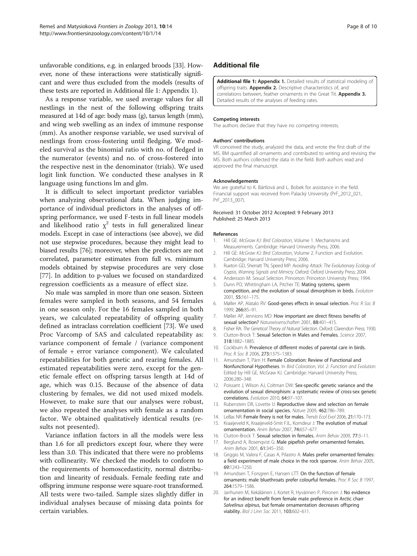<span id="page-7-0"></span>unfavorable conditions, e.g. in enlarged broods [\[33\]](#page-8-0). However, none of these interactions were statistically significant and were thus excluded from the models (results of these tests are reported in Additional file 1: Appendix 1).

As a response variable, we used average values for all nestlings in the nest of the following offspring traits measured at 14d of age: body mass (g), tarsus length (mm), and wing web swelling as an index of immune response (mm). As another response variable, we used survival of nestlings from cross-fostering until fledging. We modeled survival as the binomial ratio with no. of fledged in the numerator (events) and no. of cross-fostered into the respective nest in the denominator (trials). We used logit link function. We conducted these analyses in R language using functions lm and glm.

It is difficult to select important predictor variables when analyzing observational data. When judging importance of individual predictors in the analyses of offspring performance, we used F-tests in full linear models and likelihood ratio  $\chi^2$  tests in full generalized linear models. Except in case of interactions (see above), we did not use stepwise procedures, because they might lead to biased results [\[76\]](#page-9-0); moreover, when the predictors are not correlated, parameter estimates from full vs. minimum models obtained by stepwise procedures are very close [[77](#page-9-0)]. In addition to p-values we focused on standardized regression coefficients as a measure of effect size.

No male was sampled in more than one season. Sixteen females were sampled in both seasons, and 54 females in one season only. For the 16 females sampled in both years, we calculated repeatability of offspring quality defined as intraclass correlation coefficient [[73](#page-9-0)]. We used Proc Varcomp of SAS and calculated repeatability as: variance component of female / (variance component of female + error variance component). We calculated repeatabilities for both genetic and rearing females. All estimated repeatabilities were zero, except for the genetic female effect on offspring tarsus length at 14d of age, which was 0.15. Because of the absence of data clustering by females, we did not used mixed models. However, to make sure that our analyses were robust, we also repeated the analyses with female as a random factor. We obtained qualitatively identical results (results not presented).

Variance inflation factors in all the models were less than 1.6 for all predictors except four, where they were less than 3.0. This indicated that there were no problems with collinearity. We checked the models to conform to the requirements of homoscedasticity, normal distribution and linearity of residuals. Female feeding rate and offspring immune response were square-root transformed. All tests were two-tailed. Sample sizes slightly differ in individual analyses because of missing data points for certain variables.

# Additional file

[Additional file 1:](http://www.biomedcentral.com/content/supplementary/1742-9994-10-14-S1.doc) Appendix 1. Detailed results of statistical modeling of offspring traits. Appendix 2. Descriptive characteristics of, and correlations between, feather ornaments in the Great Tit. Appendix 3. Detailed results of the analyses of feeding rates.

#### Competing interests

The authors declare that they have no competing interests.

#### Authors' contributions

VR conceived the study, analyzed the data, and wrote the first draft of the MS. BM quantified all ornaments and contributed to writing and revising the MS. Both authors collected the data in the field. Both authors read and approved the final manuscript.

#### Acknowledgements

We are grateful to K. Bártlová and L. Bobek for assistance in the field. Financial support was received from Palacký University (PrF\_2012\_021, PrF\_2013\_007).

#### Received: 31 October 2012 Accepted: 9 February 2013 Published: 25 March 2013

#### References

- Hill GE: McGraw KJ: Bird Coloration, Volume 1. Mechanisms and Measurements. Cambridge: Harvard University Press; 2006.
- 2. Hill GE: McGraw KJ: Bird Coloration, Volume 2. Function and Evolution. Cambridge: Harvard University Press; 2006.
- 3. Ruxton GD, Sherratt TN, Speed MP: Avoiding Attack: The Evolutionary Ecology of Crypsis, Warning Signals and Mimicry. Oxford: Oxford University Press; 2004.
- 4. Andersson M: Sexual Selection. Princeton: Princeton University Press; 1994.
- 5. Dunn PO, Whittingham LA, Pitcher TE: Mating systems, sperm competition, and the evolution of sexual dimorphism in birds. Evolution 2001, 55:161–175.
- 6. Møller AP, Alatalo RV: Good-genes effects in sexual selection. Proc R Soc B 1999, 266:85–91.
- 7. Møller AP, Jennions MD: How important are direct fitness benefits of sexual selection? Naturwissenschaften 2001, 88:401-415.
- 8. Fisher RA: The Genetical Theory of Natural Selection. Oxford: Clarendon Press; 1930.
- 9. Clutton-Brock T: Sexual Selection in Males and Females. Science 2007, 318:1882–1885.
- 10. Cockburn A: Prevalence of different modes of parental care in birds. Proc R Soc B 2006, 273:1375–1383.
- 11. Amundsen T, Pärn H: Female Coloration: Review of Functional and Nonfunctional Hypotheses. In Bird Coloration, Vol. 2: Function and Evolution. Edited by Hill GE, McGraw KJ. Cambridge: Harvard University Press; 2006:280–348.
- 12. Poissant J, Wilson AJ, Coltman DW: Sex-specific genetic variance and the evolution of sexual dimorphism: a systematic review of cross-sex genetic correlations. Evolution 2010, 64:97–107.
- 13. Rubenstein DR, Lovette IJ: Reproductive skew and selection on female ornamentation in social species. Nature 2009, 462:786–789.
- 14. LeBas NR: Female finery is not for males. Trends Ecol Evol 2006, 21:170-173.
- 15. Kraaijeveld K, Kraaijeveld-Smit FJL, Komdeur J: The evolution of mutual ornamentation. Anim Behav 2007, 74:657–677.
- 16. Clutton-Brock T: Sexual selection in females. Anim Behav 2009, 77:3–11.
- 17. Berglund A, Rosenqvist G: Male pipefish prefer ornamented females. Anim Behav 2001, 61:345–350.
- 18. Griggio M, Valera F, Casas A, Pilastro A: Males prefer ornamented females: a field experiment of male choice in the rock sparrow. Anim Behav 2005, 69:1243–1250.
- 19. Amundsen T, Forsgren E, Hansen LTT: On the function of female ornaments: male bluethroats prefer colourful females. Proc R Soc B 1997, 264:1579–1586.
- 20. Janhunen M, Kekäläinen J, Kortet R, Hyvärinen P, Piironen J: No evidence for an indirect benefit from female mate preference in Arctic charr Salvelinus alpinus, but female ornamentation decreases offspring viability. Biol J Linn Soc 2011, 103:602-611.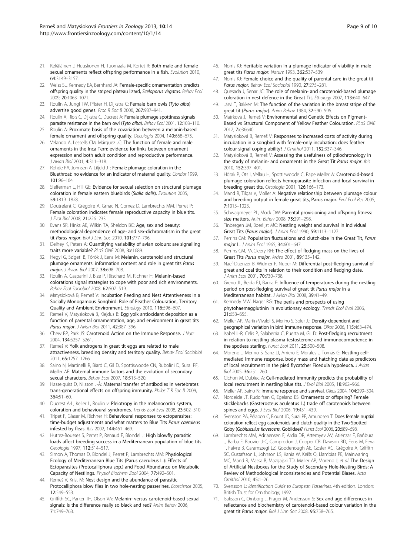- <span id="page-8-0"></span>21. Kekäläinen J, Huuskonen H, Tuomaala M, Kortet R; Both male and female sexual ornaments reflect offspring performance in a fish. Evolution 2010, 64:3149–3157.
- 22. Weiss SL, Kennedy EA, Bernhard JA: Female-specific ornamentation predicts offspring quality in the striped plateau lizard, Sceloporus virgatus. Behav Ecol 2009, 20:1063–1071.
- 23. Roulin A, Jungi TW, Pfister H, Dijkstra C: Female barn owls (Tyto alba) advertise good genes. Proc R Soc B 2000, 267:937–941.
- 24. Roulin A, Riols C, Dijkstra C, Ducrest A: Female plumage spottiness signals parasite resistance in the barn owl (Tyto alba). Behav Ecol 2001, 12:103-110.
- 25. Roulin A: Proximate basis of the covariation between a melanin-based female ornament and offspring quality. Oecologia 2004, 140:668–675.
- 26. Velando A, Lessells CM, Márquez JC: The function of female and male ornaments in the Inca Tern: evidence for links between ornament expression and both adult condition and reproductive performance. J Avian Biol 2001, 4:311–318.
- 27. Rohde PA, Johnsen A, Lifjeld JT: Female plumage coloration in the Bluethroat: no evidence for an indicator of maternal quality. Condor 1999, 101:96–104.
- 28. Siefferman L, Hill GE: Evidence for sexual selection on structural plumage coloration in female eastern bluebirds (Sialia sialis). Evolution 2005, 59:1819–1828.
- 29. Doutrelant C, Grégoire A, Grnac N, Gomez D, Lambrechts MM, Perret P: Female coloration indicates female reproductive capacity in blue tits. J Evol Biol 2008, 21:226–233.
- 30. Evans SR, Hinks AE, Wilkin TA, Sheldon BC: Age, sex and beauty: methodological dependence of age- and sex-dichromatism in the great tit Parus major. Biol J Linn Soc 2010, 101:777-796.
- 31. Delhey K, Peters A: Quantifying variability of avian colours: are signalling traits more variable? PLoS ONE 2008, 3:e1689.
- 32. Hegyi G, Szigeti B, Török J, Eens M: Melanin, carotenoid and structural plumage ornaments: information content and role in great tits Parus major. J Avian Biol 2007, 38:698-708.
- 33. Roulin A, Gasparini J, Bize P, Ritschard M, Richner H: Melanin-based colorations signal strategies to cope with poor and rich environments. Behav Ecol Sociobiol 2008, 62:507–519.
- 34. Matysioková B, Remeš V: Incubation Feeding and Nest Attentiveness in a Socially Monogamous Songbird: Role of Feather Colouration, Territory Quality and Ambient Environment. Ethology 2010, 116:596–607.
- 35. Remeš V, Matysioková B, Klejdus B: Egg yolk antioxidant deposition as a function of parental ornamentation, age, and environment in great tits Parus major. J Avian Biol 2011, 42:387–396.
- 36. Chew BP, Park JS: Carotenoid Action on the Immune Response. J Nutr 2004, 134:S257–S261.
- 37. Remeš V: Yolk androgens in great tit eggs are related to male attractiveness, breeding density and territory quality. Behav Ecol Sociobiol 2011, 65:1257–1266.
- 38. Saino N, Martinelli R, Biard C, Gil D, Spottiswoode CN, Rubolini D, Surai PF, Møller AP: Maternal immune factors and the evolution of secondary sexual characters. Behav Ecol 2007, 18:513-520.
- 39. Hasselquist D, Nilsson J-Å: Maternal transfer of antibodies in vertebrates: trans-generational effects on offspring immunity. Philos T R Soc B 2009, 364:51–60.
- 40. Ducrest A-L, Keller L, Roulin v: Pleiotropy in the melanocortin system, coloration and behavioural syndromes. Trends Ecol Evol 2008, 23:502–510.
- 41. Tripet F, Glaser M, Richner H: Behavioural responses to ectoparasites: time-budget adjustments and what matters to Blue Tits Parus caeruleus infested by fleas. Ibis 2002, 144:461–469.
- 42. Hutrez-Bousses S, Perret P, Renaud F, Blondel J: High blowfly parasitic loads affect breeding success in a Mediterranean population of blue tits. Oecologia 1997, 112:514–517.
- 43. Simon A, Thomas D, Blondel J, Perret P, Lambrechts MM: Physiological Ecology of Mediterranean Blue Tits (Parus caeruleus L.): Effects of Ectoparasites (Protocalliphora spp.) and Food Abundance on Metabolic Capacity of Nestlings. Physiol Biochem Zool 2004, 77:492–501.
- 44. Remeš V, Krist M: Nest design and the abundance of parasitic Protocalliphora blow flies in two hole-nesting passerines. Ecoscience 2005, 12:549–553.
- 45. Griffith SC, Parker TH, Olson VA: Melanin- versus carotenoid-based sexual signals: is the difference really so black and red? Anim Behav 2006, 71:749–763.
- 46. Norris KJ: Heritable variation in a plumage indicator of viability in male great tits Parus major. Nature 1993, 362:537–539.
- 47. Norris KJ: Female choice and the quality of parental care in the great tit Parus major. Behav Ecol Sociobiol 1990, 27:275-281.
- 48. Quesada J, Senar JC: The role of melanin- and carotenoid-based plumage coloration in nest defence in the Great Tit. Ethology 2007, 113:640–647.
- 49. Järvi T, Bakken M: The function of the variation in the breast stripe of the great tit (Parus major). Anim Behav 1984, 32:590–596.
- 50. Matrková J, Remeš V: Environmental and Genetic Effects on Pigment-Based vs Structural Component of Yellow Feather Colouration. PLoS ONE 2012, 7:e36640.
- 51. Matysioková B, Remeš V: Responses to increased costs of activity during incubation in a songbird with female-only incubation: does feather colour signal coping ability? J Ornithol 2011, 152:337-346.
- Matysioková B, Remeš V: Assessing the usefulness of ptilochronology in the study of melanin- and ornaments in the Great Tit Parus major. Ibis 2010, 152:397–401.
- 53. Hõrak P, Ots I, Vellau H, Spottiswoode C, Pape Møller A: Carotenoid-based plumage coloration reflects hemoparasite infection and local survival in breeding great tits. Oecologia 2001, 126:166–173.
- 54. Mand R, Tilgar V, Moller A: Negative relationship between plumage colour and breeding output in female great tits, Parus major. Evol Ecol Res 2005, 7:1013–1023.
- 55. Schwagmeyer PL, Mock DW: Parental provisioning and offspring fitness: size matters. Anim Behav 2008, 75:291-298.
- Tinbergen JM, Boerlijst MC: Nestling weight and survival in individual Great Tits (Parus major). J Anim Ecol 1990, 59:1113–1127.
- 57. Perrins CM: Population fluctuations and clutch-size in the Great Tit, Parus major L. J Anim Ecol 1965, 34:601-647.
- 58. Perrins CM, McCleery RH: The effect of fledging mass on the lives of Great Tits Parus major. Ardea 2001, 89:135–142.
- 59. Naef-Daenzer B, Widmer F, Nuber M: Differential post-fledging survival of great and coal tits in relation to their condition and fledging date. J Anim Ecol 2001, 70:730–738.
- 60. Greno JL, Belda EJ, Barba E: Influence of temperatures during the nestling period on post-fledging survival of great tit Parus major in a Mediterranean habitat. J Avian Biol 2008, 39:41–49.
- 61. Kennedy MW, Nager RG: The perils and prospects of using phytohaemagglutinin in evolutionary ecology. Trends Ecol Evol 2006, 21:653–655.
- 62. Møller AP, Martín-Vivaldi S, Merino S, Soler JJ: Density-dependent and geographical variation in bird immune response. Oikos 2006, 115:463–474.
- 63. Isabel L-R, Celis P, Salaberria C, Puerta M, Gil D: Post-fledging recruitment in relation to nestling plasma testosterone and immunocompetence in the spotless starling. Funct Ecol 2011, 25:500-508.
- 64. Moreno J, Merino S, Sanz JJ, Arriero E, Morales J, Tomás G: Nestling cellmediated immune response, body mass and hatching date as predictors of local recruitment in the pied flycatcher Ficedula hypoleuca. J Avian Biol 2005, 36:251–260.
- 65. Cichon M, Dubiec A: Cell-mediated immunity predicts the probability of local recruitment in nestling blue tits. J Evol Biol 2005, 18:962–966.
- 66. Møller AP, Saino N: Immune response and survival. Oikos 2004, 104:299–304. 67. Nordeide JT, Rudolfsen G, Egeland ES: Ornaments or offspring? Female sticklebacks (Gasterosteus aculeatus L.) trade off carotenoids between spines and eggs. J Evol Biol 2006, 19:431-439.
- 68. Svensson PA, Pélabon C, Blount JD, Surai PF, Amundsen T: Does female nuptial coloration reflect egg carotenoids and clutch quality in the Two-Spotted Goby (Gobiusculus flavescens, Gobiidae)? Funct Ecol 2006, 20:689–698.
- 69. Lambrechts MM, Adriaensen F, Ardia DR, Artemyev AV, Atiénzar F, Bańbura J, Barba E, Bouvier J-C, Camprodon J, Cooper CB, Dawson RD, Eens M, Eeva T, Faivre B, Garamszegi LZ, Goodenough AE, Gosler AG, Grégoire A, Griffith SC, Gustafsson L, Johnson LS, Kania W, Keišs O, Llambias PE, Mainwaring MC, Mänd R, Massa B, Mazgajski TD, Møller AP, Moreno J, et al: The Design of Artificial Nestboxes for the Study of Secondary Hole-Nesting Birds: A Review of Methodological Inconsistencies and Potential Biases. Acta Ornithol 2010, 45:1–26.
- 70. Svensson L: Identification Guide to European Passerines. 4th edition. London: British Trust for Ornithology; 1992.
- 71. Isaksson C, Ornborg J, Prager M, Andersson S: Sex and age differences in reflectance and biochemistry of carotenoid-based colour variation in the great tit Parus major. Biol J Linn Soc 2008, 95:758-765.